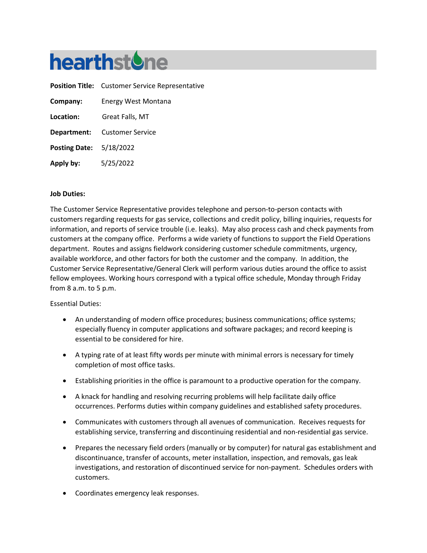

|                                | <b>Position Title:</b> Customer Service Representative |
|--------------------------------|--------------------------------------------------------|
| Company:                       | Energy West Montana                                    |
| Location:                      | Great Falls, MT                                        |
|                                | <b>Department:</b> Customer Service                    |
| <b>Posting Date: 5/18/2022</b> |                                                        |
| Apply by:                      | 5/25/2022                                              |

### **Job Duties:**

The Customer Service Representative provides telephone and person-to-person contacts with customers regarding requests for gas service, collections and credit policy, billing inquiries, requests for information, and reports of service trouble (i.e. leaks). May also process cash and check payments from customers at the company office. Performs a wide variety of functions to support the Field Operations department. Routes and assigns fieldwork considering customer schedule commitments, urgency, available workforce, and other factors for both the customer and the company. In addition, the Customer Service Representative/General Clerk will perform various duties around the office to assist fellow employees. Working hours correspond with a typical office schedule, Monday through Friday from 8 a.m. to 5 p.m.

#### Essential Duties:

- An understanding of modern office procedures; business communications; office systems; especially fluency in computer applications and software packages; and record keeping is essential to be considered for hire.
- A typing rate of at least fifty words per minute with minimal errors is necessary for timely completion of most office tasks.
- Establishing priorities in the office is paramount to a productive operation for the company.
- A knack for handling and resolving recurring problems will help facilitate daily office occurrences. Performs duties within company guidelines and established safety procedures.
- Communicates with customers through all avenues of communication. Receives requests for establishing service, transferring and discontinuing residential and non-residential gas service.
- Prepares the necessary field orders (manually or by computer) for natural gas establishment and discontinuance, transfer of accounts, meter installation, inspection, and removals, gas leak investigations, and restoration of discontinued service for non-payment. Schedules orders with customers.
- Coordinates emergency leak responses.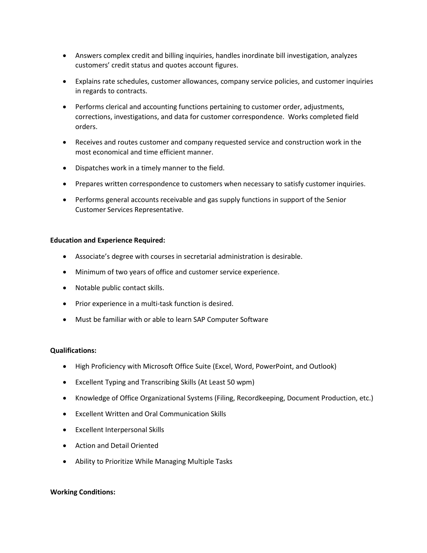- Answers complex credit and billing inquiries, handles inordinate bill investigation, analyzes customers' credit status and quotes account figures.
- Explains rate schedules, customer allowances, company service policies, and customer inquiries in regards to contracts.
- Performs clerical and accounting functions pertaining to customer order, adjustments, corrections, investigations, and data for customer correspondence. Works completed field orders.
- Receives and routes customer and company requested service and construction work in the most economical and time efficient manner.
- Dispatches work in a timely manner to the field.
- Prepares written correspondence to customers when necessary to satisfy customer inquiries.
- Performs general accounts receivable and gas supply functions in support of the Senior Customer Services Representative.

## **Education and Experience Required:**

- Associate's degree with courses in secretarial administration is desirable.
- Minimum of two years of office and customer service experience.
- Notable public contact skills.
- Prior experience in a multi-task function is desired.
- Must be familiar with or able to learn SAP Computer Software

#### **Qualifications:**

- High Proficiency with Microsoft Office Suite (Excel, Word, PowerPoint, and Outlook)
- Excellent Typing and Transcribing Skills (At Least 50 wpm)
- Knowledge of Office Organizational Systems (Filing, Recordkeeping, Document Production, etc.)
- Excellent Written and Oral Communication Skills
- Excellent Interpersonal Skills
- Action and Detail Oriented
- Ability to Prioritize While Managing Multiple Tasks

#### **Working Conditions:**